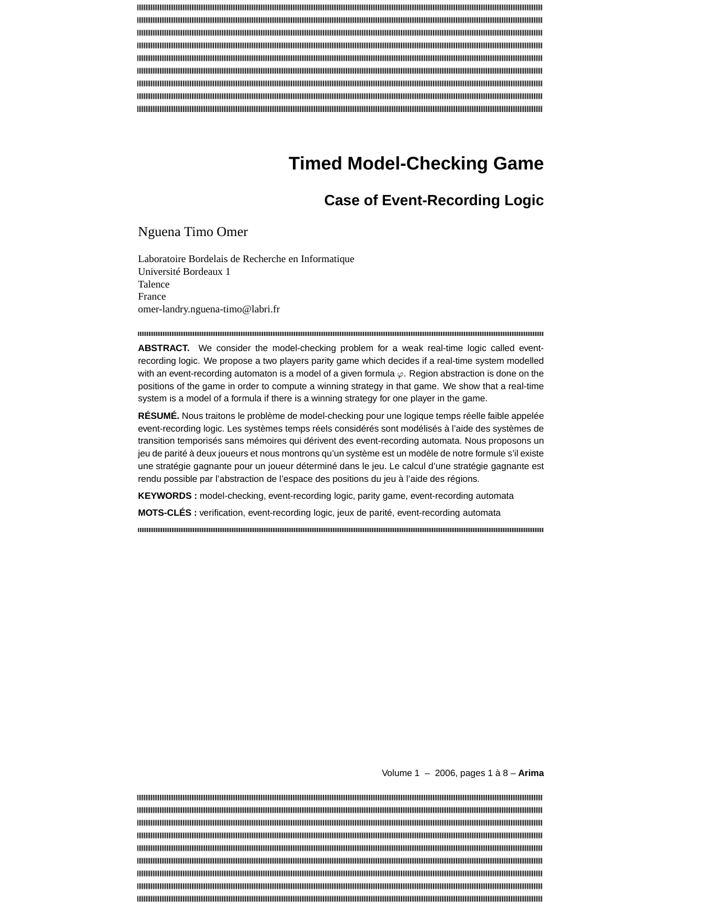# **Timed Model-Checking Game**

## **Case of Event-Recording Logic**

Nguena Timo Omer

Laboratoire Bordelais de Recherche en Informatique Université Bordeaux 1 Talence France omer-landry.nguena-timo@labri.fr

**ABSTRACT.** We consider the model-checking problem for a weak real-time logic called eventrecording logic. We propose a two players parity game which decides if a real-time system modelled with an event-recording automaton is a model of a given formula  $\varphi$ . Region abstraction is done on the positions of the game in order to compute a winning strategy in that game. We show that a real-time system is a model of a formula if there is a winning strategy for one player in the game.

**RÉSUMÉ.** Nous traitons le problème de model-checking pour une logique temps réelle faible appelée event-recording logic. Les systèmes temps réels considérés sont modélisés à l'aide des systèmes de transition temporisés sans mémoires qui dérivent des event-recording automata. Nous proposons un jeu de parité à deux joueurs et nous montrons qu'un système est un modèle de notre formule s'il existe une stratégie gagnante pour un joueur déterminé dans le jeu. Le calcul d'une stratégie gagnante est rendu possible par l'abstraction de l'espace des positions du jeu à l'aide des régions.

**KEYWORDS :** model-checking, event-recording logic, parity game, event-recording automata

**MOTS-CLÉS :** verification, event-recording logic, jeux de parité, event-recording automata

Volume 1 – 2006, pages 1 à 8 – **Arima**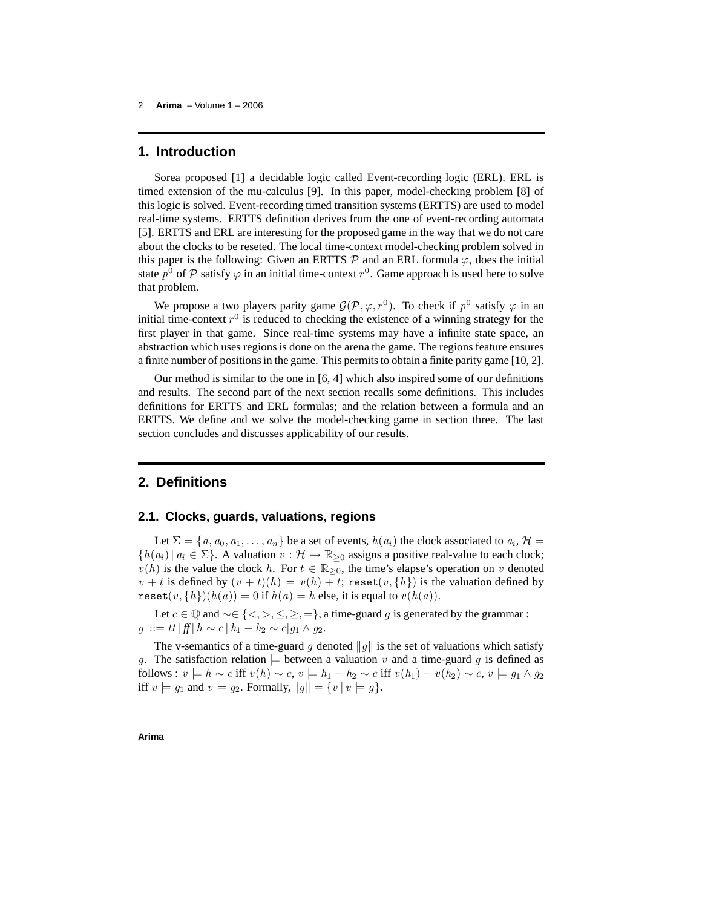## **1. Introduction**

Sorea proposed [1] a decidable logic called Event-recording logic (ERL). ERL is timed extension of the mu-calculus [9]. In this paper, model-checking problem [8] of this logic is solved. Event-recording timed transition systems (ERTTS) are used to model real-time systems. ERTTS definition derives from the one of event-recording automata [5]. ERTTS and ERL are interesting for the proposed game in the way that we do not care about the clocks to be reseted. The local time-context model-checking problem solved in this paper is the following: Given an ERTTS  $\mathcal P$  and an ERL formula  $\varphi$ , does the initial state  $p^0$  of  $P$  satisfy  $\varphi$  in an initial time-context  $r^0$ . Game approach is used here to solve that problem.

We propose a two players parity game  $\mathcal{G}(\mathcal{P}, \varphi, r^0)$ . To check if  $p^0$  satisfy  $\varphi$  in an initial time-context  $r^0$  is reduced to checking the existence of a winning strategy for the first player in that game. Since real-time systems may have a infinite state space, an abstraction which uses regions is done on the arena the game. The regions feature ensures a finite number of positionsin the game. This permitsto obtain a finite parity game [10, 2].

Our method is similar to the one in [6, 4] which also inspired some of our definitions and results. The second part of the next section recalls some definitions. This includes definitions for ERTTS and ERL formulas; and the relation between a formula and an ERTTS. We define and we solve the model-checking game in section three. The last section concludes and discusses applicability of our results.

## **2. Definitions**

#### **2.1. Clocks, guards, valuations, regions**

Let  $\Sigma = \{a, a_0, a_1, \ldots, a_n\}$  be a set of events,  $h(a_i)$  the clock associated to  $a_i$ ,  $\mathcal{H} =$  ${h(a_i) | a_i \in \Sigma}$ . A valuation  $v : \mathcal{H} \mapsto \mathbb{R}_{\geq 0}$  assigns a positive real-value to each clock;  $v(h)$  is the value the clock h. For  $t \in \mathbb{R}_{\geq 0}$ , the time's elapse's operation on v denoted  $v + t$  is defined by  $(v + t)(h) = v(h) + t$ ; reset $(v, \{h\})$  is the valuation defined by reset $(v, \{h\})$  $(h(a)) = 0$  if  $h(a) = h$  else, it is equal to  $v(h(a))$ .

Let  $c \in \mathbb{Q}$  and  $\sim \in \{ \leq, >, \leq, \geq, = \}$ , a time-guard g is generated by the grammar :  $g := tt | ff | h \sim c | h_1 - h_2 \sim c | g_1 \wedge g_2.$ 

The v-semantics of a time-guard g denoted  $||g||$  is the set of valuations which satisfy g. The satisfaction relation  $\models$  between a valuation v and a time-guard g is defined as follows :  $v \models h \sim c$  iff  $v(h) \sim c$ ,  $v \models h_1 - h_2 \sim c$  iff  $v(h_1) - v(h_2) \sim c$ ,  $v \models g_1 \land g_2$ iff  $v \models g_1$  and  $v \models g_2$ . Formally,  $||g|| = \{v | v \models g\}.$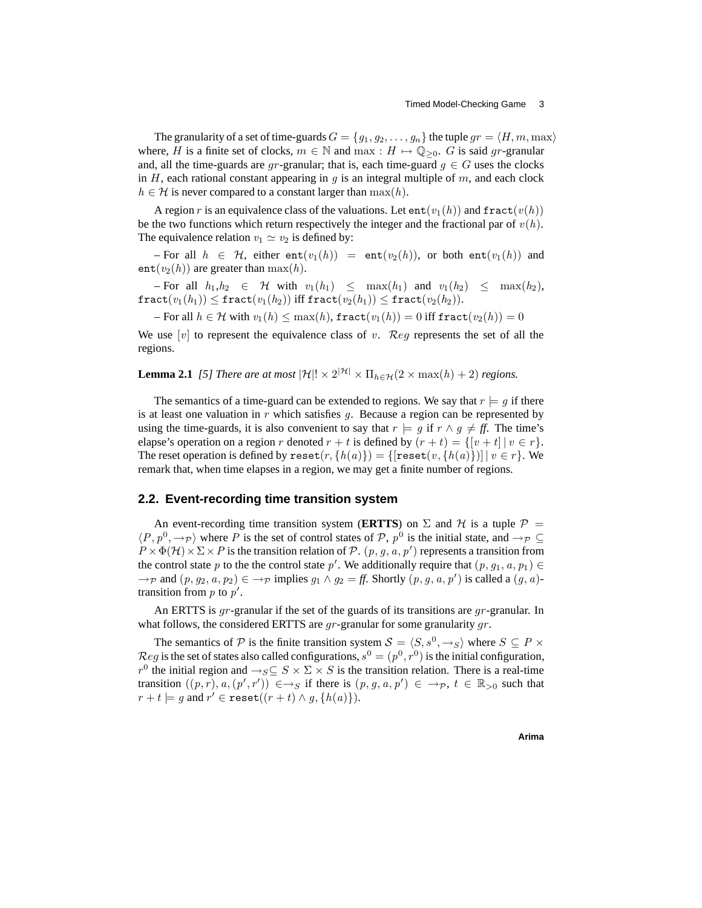The granularity of a set of time-guards  $G = \{g_1, g_2, \ldots, g_n\}$  the tuple  $gr = \langle H, m, \max \rangle$ where, H is a finite set of clocks,  $m \in \mathbb{N}$  and  $\max : H \mapsto \mathbb{Q}_{\geq 0}$ . G is said gr-granular and, all the time-guards are gr-granular; that is, each time-guard  $g \in G$  uses the clocks in H, each rational constant appearing in  $q$  is an integral multiple of  $m$ , and each clock  $h \in \mathcal{H}$  is never compared to a constant larger than  $\max(h)$ .

A region r is an equivalence class of the valuations. Let  $ent(v_1(h))$  and  $fract(v(h))$ be the two functions which return respectively the integer and the fractional par of  $v(h)$ . The equivalence relation  $v_1 \simeq v_2$  is defined by:

– For all  $h \in H$ , either  $ent(v_1(h)) = ent(v_2(h))$ , or both  $ent(v_1(h))$  and  $ent(v_2(h))$  are greater than  $max(h)$ .

 $-$  For all  $h_1,h_2 \in \mathcal{H}$  with  $v_1(h_1) \leq \max(h_1)$  and  $v_1(h_2) \leq \max(h_2)$ ,  $\texttt{fract}(v_1(h_1)) \leq \texttt{fract}(v_1(h_2))$  iff  $\texttt{fract}(v_2(h_1)) \leq \texttt{fract}(v_2(h_2)).$ 

– For all  $h \in \mathcal{H}$  with  $v_1(h) \leq \max(h)$ , fract $(v_1(h)) = 0$  iff fract $(v_2(h)) = 0$ 

We use  $[v]$  to represent the equivalence class of v. Reg represents the set of all the regions.

**Lemma 2.1** *[5] There are at most*  $|\mathcal{H}|! \times 2^{|\mathcal{H}|} \times \Pi_{h \in \mathcal{H}}(2 \times \max(h) + 2)$  *regions.* 

The semantics of a time-guard can be extended to regions. We say that  $r \models q$  if there is at least one valuation in  $r$  which satisfies  $q$ . Because a region can be represented by using the time-guards, it is also convenient to say that  $r \models q$  if  $r \land q \neq ff$ . The time's elapse's operation on a region r denoted  $r + t$  is defined by  $(r + t) = \{ [v + t] | v \in r \}.$ The reset operation is defined by  $\text{reset}(r, \{h(a)\}) = \{[\text{reset}(v, \{h(a)\})] | v \in r\}$ . We remark that, when time elapses in a region, we may get a finite number of regions.

#### **2.2. Event-recording time transition system**

An event-recording time transition system (**ERTTS**) on  $\Sigma$  and  $H$  is a tuple  $P =$  $\langle P, p^0, \to_P \rangle$  where P is the set of control states of P,  $p^0$  is the initial state, and  $\to_P \subseteq$  $P \times \Phi(\mathcal{H}) \times \Sigma \times P$  is the transition relation of  $P$ .  $(p, g, a, p')$  represents a transition from the control state p to the the control state p'. We additionally require that  $(p, g_1, a, p_1) \in$  $\rightarrow_{\mathcal{P}}$  and  $(p, g_2, a, p_2) \in \rightarrow_{\mathcal{P}}$  implies  $g_1 \wedge g_2 = ff$ . Shortly  $(p, g, a, p')$  is called a  $(g, a)$ transition from  $p$  to  $p'$ .

An ERTTS is  $gr$ -granular if the set of the guards of its transitions are  $gr$ -granular. In what follows, the considered ERTTS are  $gr$ -granular for some granularity  $gr$ .

The semantics of P is the finite transition system  $S = \langle S, s^0, \rightarrow_S \rangle$  where  $S \subseteq P \times$  $Reg$  is the set of states also called configurations,  $s^0 = (p^0, r^0)$  is the initial configuration,  $r^0$  the initial region and  $\rightarrow_S \subseteq S \times \Sigma \times S$  is the transition relation. There is a real-time transition  $((p, r), a, (p', r')) \in \rightarrow_S \text{ if there is } (p, g, a, p') \in \rightarrow_P, t \in \mathbb{R}_{>0}$  such that  $r + t \models g$  and  $r' \in \texttt{reset}((r + t) \land g, \{h(a)\}).$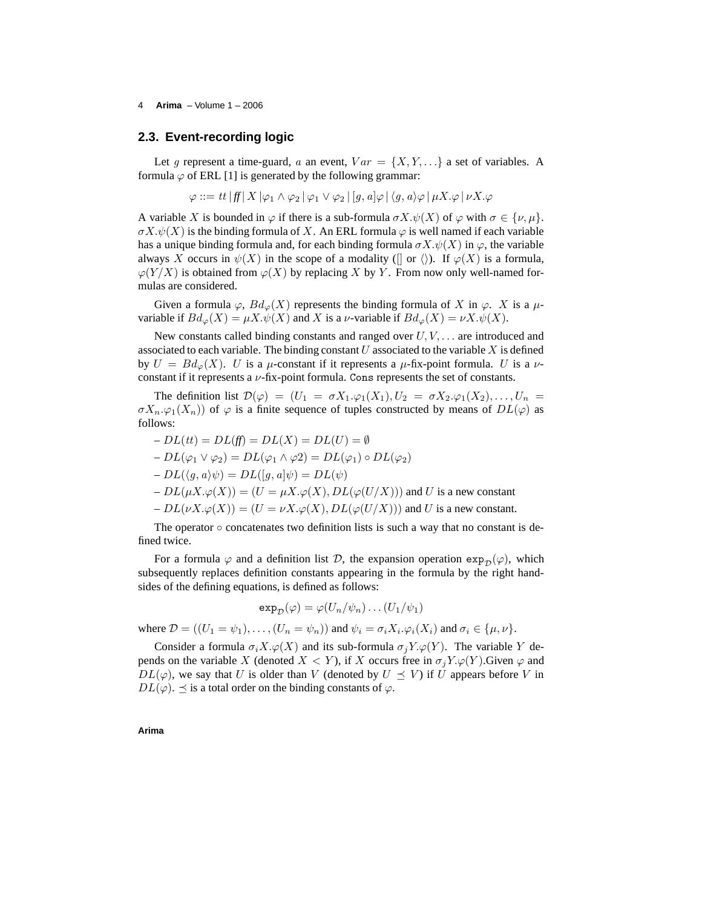#### 4 **Arima** – Volume 1 – 2006

#### **2.3. Event-recording logic**

Let g represent a time-guard, a an event,  $Var = \{X, Y, ...\}$  a set of variables. A formula  $\varphi$  of ERL [1] is generated by the following grammar:

$$
\varphi ::= tt | ff | X | \varphi_1 \wedge \varphi_2 | \varphi_1 \vee \varphi_2 | [g, a] \varphi | \langle g, a \rangle \varphi | \mu X. \varphi | \nu X. \varphi
$$

A variable X is bounded in  $\varphi$  if there is a sub-formula  $\sigma X.\psi(X)$  of  $\varphi$  with  $\sigma \in {\{\nu, \mu\}}$ .  $\sigma X.\psi(X)$  is the binding formula of X. An ERL formula  $\varphi$  is well named if each variable has a unique binding formula and, for each binding formula  $\sigma X.\psi(X)$  in  $\varphi$ , the variable always X occurs in  $\psi(X)$  in the scope of a modality ([] or  $\langle \rangle$ ). If  $\varphi(X)$  is a formula,  $\varphi(Y/X)$  is obtained from  $\varphi(X)$  by replacing X by Y. From now only well-named formulas are considered.

Given a formula  $\varphi$ ,  $Bd_{\varphi}(X)$  represents the binding formula of X in  $\varphi$ . X is a  $\mu$ variable if  $Bd_{\varphi}(X) = \mu X \cdot \psi(X)$  and X is a *ν*-variable if  $Bd_{\varphi}(X) = \nu X \cdot \psi(X)$ .

New constants called binding constants and ranged over  $U, V, \ldots$  are introduced and associated to each variable. The binding constant U associated to the variable X is defined by  $U = Bd_{\varphi}(X)$ . U is a  $\mu$ -constant if it represents a  $\mu$ -fix-point formula. U is a  $\nu$ constant if it represents a  $\nu$ -fix-point formula. Cons represents the set of constants.

The definition list  $\mathcal{D}(\varphi) = (U_1 = \sigma X_1 \cdot \varphi_1(X_1), U_2 = \sigma X_2 \cdot \varphi_1(X_2), \dots, U_n =$  $\sigma X_n \varphi_1(X_n)$  of  $\varphi$  is a finite sequence of tuples constructed by means of  $DL(\varphi)$  as follows:

$$
-DL(tt) = DL(ft) = DL(X) = DL(U) = \emptyset
$$
  
\n
$$
-DL(\varphi_1 \vee \varphi_2) = DL(\varphi_1 \wedge \varphi_2) = DL(\varphi_1) \circ DL(\varphi_2)
$$
  
\n
$$
-DL(\langle g, a \rangle \psi) = DL([g, a] \psi) = DL(\psi)
$$
  
\n
$$
-DL(\mu X.\varphi(X)) = (U = \mu X.\varphi(X), DL(\varphi(U/X))) \text{ and } U \text{ is a new constant}
$$
  
\n
$$
-DL(\nu X.\varphi(X)) = (U = \nu X.\varphi(X), DL(\varphi(U/X))) \text{ and } U \text{ is a new constant.}
$$

The operator  $\circ$  concatenates two definition lists is such a way that no constant is defined twice.

For a formula  $\varphi$  and a definition list D, the expansion operation  $\exp_{\mathcal{D}}(\varphi)$ , which subsequently replaces definition constants appearing in the formula by the right handsides of the defining equations, is defined as follows:

$$
\exp_{\mathcal{D}}(\varphi) = \varphi(U_n/\psi_n) \dots (U_1/\psi_1)
$$

where  $\mathcal{D} = ((U_1 = \psi_1), \dots, (U_n = \psi_n))$  and  $\psi_i = \sigma_i X_i \cdot \varphi_i(X_i)$  and  $\sigma_i \in {\{\mu, \nu\}}$ .

Consider a formula  $\sigma_i X.\varphi(X)$  and its sub-formula  $\sigma_j Y.\varphi(Y)$ . The variable Y depends on the variable X (denoted  $X < Y$ ), if X occurs free in  $\sigma_j Y \cdot \varphi(Y)$ . Given  $\varphi$  and  $DL(\varphi)$ , we say that U is older than V (denoted by  $U \preceq V$ ) if U appears before V in  $DL(\varphi)$ .  $\preceq$  is a total order on the binding constants of  $\varphi$ .

**Arima**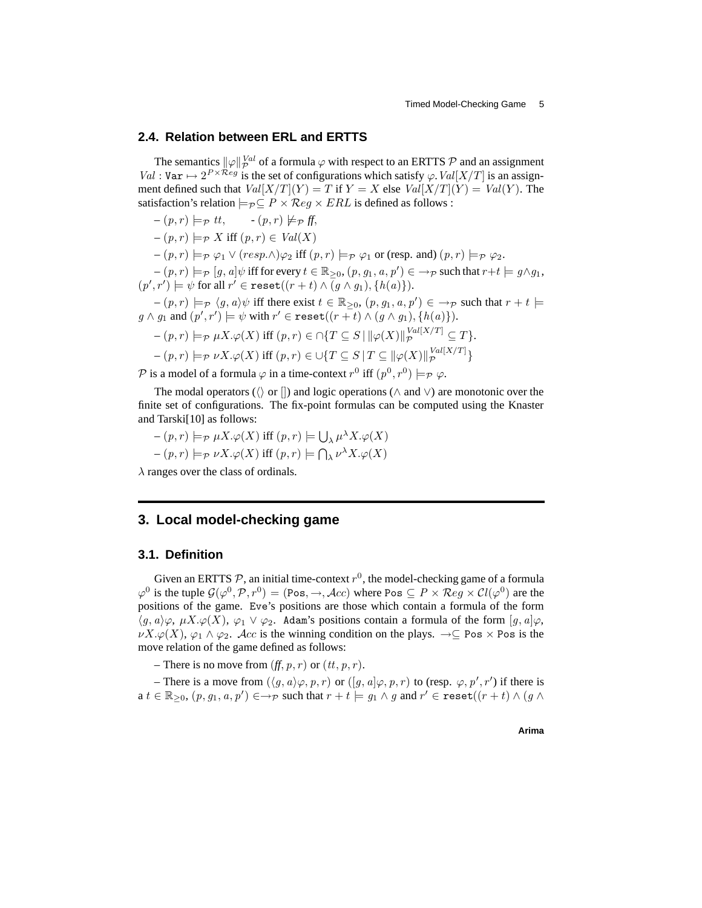#### **2.4. Relation between ERL and ERTTS**

The semantics  $\|\varphi\|_{\mathcal{P}}^{Val}$  of a formula  $\varphi$  with respect to an ERTTS  $\mathcal P$  and an assignment  $Val: \text{Var} \mapsto 2^{P \times \mathcal{R}eg}$  is the set of configurations which satisfy  $\varphi$ .  $Val[X/T]$  is an assignment defined such that  $Val[X/T](Y) = T$  if  $Y = X$  else  $Val[X/T](Y) = Val(Y)$ . The satisfaction's relation  $\models_{\mathcal{P}} \subseteq P \times \mathcal{R}eg \times ERL$  is defined as follows :

$$
-(p,r) \models_{\mathcal{P}} tt, \quad -(p,r) \not\models_{\mathcal{P}} ff,
$$
  
\n
$$
-(p,r) \models_{\mathcal{P}} X \text{ iff } (p,r) \in Val(X)
$$
  
\n
$$
-(p,r) \models_{\mathcal{P}} \varphi_1 \vee (resp.\wedge)\varphi_2 \text{ iff } (p,r) \models_{\mathcal{P}} \varphi_1 \text{ or (resp. and) } (p,r) \models_{\mathcal{P}} \varphi_2.
$$
  
\n
$$
-(p,r) \models_{\mathcal{P}} [g,a] \psi \text{ iff for every } t \in \mathbb{R}_{\geq 0}, (p,g_1,a,p') \in \rightarrow_{\mathcal{P}} \text{ such that } r+t \models g \wedge g_1,
$$
  
\n
$$
(p',r') \models \psi \text{ for all } r' \in \text{reset}((r+t) \wedge (g \wedge g_1), \{h(a)\}).
$$

 $(- (p, r) \models_{\mathcal{P}} \langle g, a \rangle \psi$  iff there exist  $t \in \mathbb{R}_{\geq 0}$ ,  $(p, g_1, a, p') \in \rightarrow_{\mathcal{P}}$  such that  $r + t \models$  $g \wedge g_1$  and  $(p', r') \models \psi$  with  $r' \in \texttt{reset}((r + t) \wedge (g \wedge g_1), \{h(a)\}).$ 

$$
-(p,r) \models_{\mathcal{P}} \mu X. \varphi(X) \text{ iff } (p,r) \in \cap \{T \subseteq S \mid ||\varphi(X)||_{\mathcal{P}}^{Val[X/T]} \subseteq T\}.
$$

$$
-\left(p,r\right)\models_{\mathcal{P}}\nu X.\varphi(X)\;\text{iff}\; (p,r)\in\cup\{T\subseteq S\,|\,T\subseteq\|\varphi(X)\|_{\mathcal{P}}^{Val[X/T]}\}
$$

 $\mathcal P$  is a model of a formula  $\varphi$  in a time-context  $r^0$  iff  $(p^0,r^0)\models_{\mathcal P}\varphi$ .

The modal operators ( $\langle \rangle$  or  $\langle \rangle$ ) and logic operations ( $\land$  and  $\lor$ ) are monotonic over the finite set of configurations. The fix-point formulas can be computed using the Knaster and Tarski[10] as follows:

$$
-(p,r) \models_{\mathcal{P}} \mu X. \varphi(X) \text{ iff } (p,r) \models \bigcup_{\lambda} \mu^{\lambda} X. \varphi(X)
$$

$$
-(p,r) \models_{\mathcal{P}} \nu X. \varphi(X) \text{ iff } (p,r) \models \bigcap_{\lambda} \nu^{\lambda} X. \varphi(X)
$$

 $\lambda$  ranges over the class of ordinals.

## **3. Local model-checking game**

### **3.1. Definition**

Given an ERTTS  $P$ , an initial time-context  $r^0$ , the model-checking game of a formula  $\varphi^0$  is the tuple  $\mathcal{G}(\varphi^0, \mathcal{P}, r^0) = (\text{Pos}, \to, \text{Acc})$  where Pos  $\subseteq P \times \text{Reg} \times \mathcal{C}l(\varphi^0)$  are the positions of the game. Eve's positions are those which contain a formula of the form  $\langle q, a \rangle \varphi$ ,  $\mu X. \varphi(X), \varphi_1 \vee \varphi_2$ . Adam's positions contain a formula of the form  $[q, a] \varphi$ ,  $\nu X.\varphi(X), \varphi_1 \wedge \varphi_2$ . Acc is the winning condition on the plays.  $\rightarrow \subseteq \text{Pos} \times \text{Pos}$  is the move relation of the game defined as follows:

– There is no move from  $(f, p, r)$  or  $(tt, p, r)$ .

– There is a move from  $(\langle g, a \rangle \varphi, p, r)$  or  $([g, a] \varphi, p, r)$  to (resp.  $\varphi, p', r'$ ) if there is  $a\ t\in\mathbb{R}_{\geq0},\,(p,g_1,a,p')\in\rightarrow_{\mathcal{P}}$  such that  $r+t\models g_1\wedge g$  and  $r'\in\mathtt{reset}((r+t)\wedge (g\wedge$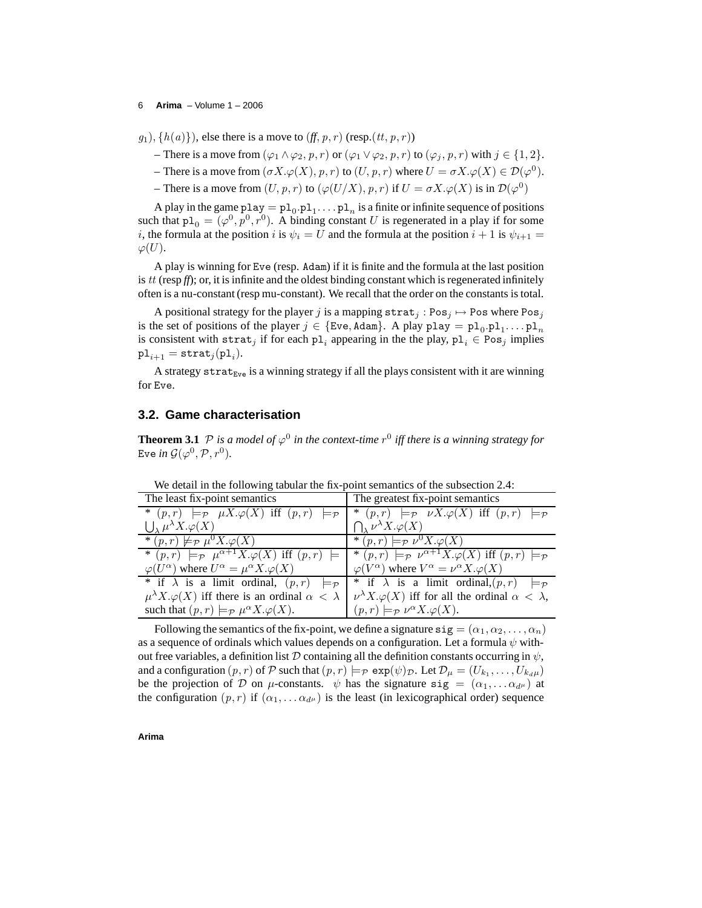#### 6 **Arima** – Volume 1 – 2006

 $g_1$ ,  $\{h(a)\}\)$ , else there is a move to  $(f, p, r)$  (resp. $(tt, p, r)$ )

- There is a move from  $(\varphi_1 \wedge \varphi_2, p, r)$  or  $(\varphi_1 \vee \varphi_2, p, r)$  to  $(\varphi_i, p, r)$  with  $j \in \{1, 2\}$ .
- There is a move from  $(\sigma X.\varphi(X), p, r)$  to  $(U, p, r)$  where  $U = \sigma X.\varphi(X) \in \mathcal{D}(\varphi^0)$ .
- There is a move from  $(U, p, r)$  to  $(\varphi(U/X), p, r)$  if  $U = \sigma X \cdot \varphi(X)$  is in  $\mathcal{D}(\varphi^0)$

A play in the game  $p \text{lay} = p1_0.p1_1 \ldots p1_n$  is a finite or infinite sequence of positions such that  $p1_0 = (\varphi^0, p^0, r^0)$ . A binding constant U is regenerated in a play if for some i, the formula at the position i is  $\psi_i = U$  and the formula at the position  $i + 1$  is  $\psi_{i+1} =$  $\varphi(U).$ 

A play is winning for Eve (resp. Adam) if it is finite and the formula at the last position is  $tt$  (resp  $f(x)$ ); or, it is infinite and the oldest binding constant which is regenerated infinitely often is a nu-constant (resp mu-constant). We recall that the order on the constants is total.

A positional strategy for the player j is a mapping  $\texttt{strat}_j : \text{Pos}_j \mapsto \text{Pos}$  where  $\text{Pos}_j$ is the set of positions of the player  $j \in \{\text{Eve}, \text{Adam}\}\$ . A play  $\text{play} = \text{pl}_0.\text{pl}_1 \dots \text{pl}_n$ is consistent with  $\texttt{strat}_j$  if for each  $\texttt{pl}_i$  appearing in the the play,  $\texttt{pl}_i \in \text{Pos}_j$  implies  $\texttt{pl}_{i+1} = \texttt{strat}_j(\texttt{pl}_i).$ 

A strategy strat<sub>Eve</sub> is a winning strategy if all the plays consistent with it are winning for Eve.

## **3.2. Game characterisation**

**Theorem 3.1**  $P$  is a model of  $\varphi^0$  in the context-time  $r^0$  iff there is a winning strategy for Eve *in*  $\mathcal{G}(\varphi^0,\mathcal{P},r^0).$ 

| The least fix-point semantics                                                                                                                                                           | The greatest fix-point semantics                                                   |
|-----------------------------------------------------------------------------------------------------------------------------------------------------------------------------------------|------------------------------------------------------------------------------------|
| * $(p,r) \models_{\mathcal{P}} \mu X.\varphi(X)$ iff $(p,r) \models_{\mathcal{P}}$                                                                                                      | * $(p,r) \models_{\mathcal{P}} \nu X.\varphi(X)$ iff $(p,r) \models_{\mathcal{P}}$ |
| $\bigcup_{\lambda} \mu^{\lambda} X. \varphi(X)$                                                                                                                                         | $\bigcap_{Y} \nu^{\lambda} X. \varphi(X)$                                          |
| * $(p,r) \not\models_{\mathcal{P}} \overline{\mu^0 X \cdot \varphi(X)}$                                                                                                                 | * $(p,r) \models_{\mathcal{P}} \nu^0 X. \overline{\varphi(X)}$                     |
| * $(p,r) \models_{\mathcal{P}} \mu^{\alpha+1} X \cdot \varphi(X)$ iff $(p,r) \models  *(p,r) \models_{\mathcal{P}} \nu^{\alpha+1} X \cdot \varphi(X)$ iff $(p,r) \models_{\mathcal{P}}$ |                                                                                    |
| $\varphi(U^{\alpha})$ where $U^{\alpha} = \mu^{\alpha} X . \varphi(X)$                                                                                                                  | $\varphi(V^{\alpha})$ where $V^{\alpha} = \nu^{\alpha} X . \varphi(X)$             |
| * if $\lambda$ is a limit ordinal, $(p, r) \models_{\mathcal{P}}$                                                                                                                       | * if $\lambda$ is a limit ordinal, $(p,r) \models_{\mathcal{P}}$                   |
| $\mu^{\lambda} X \cdot \varphi(X)$ iff there is an ordinal $\alpha < \lambda$                                                                                                           | $\nu^{\lambda} X. \varphi(X)$ iff for all the ordinal $\alpha < \lambda$ ,         |
| such that $(p, r) \models_{\mathcal{P}} \mu^{\alpha} X. \varphi(X)$ .                                                                                                                   | $(p,r) \models_{\mathcal{P}} \nu^{\alpha} X. \varphi(X).$                          |

We detail in the following tabular the fix-point semantics of the subsection 2.4:

Following the semantics of the fix-point, we define a signature  $sig = (\alpha_1, \alpha_2, \dots, \alpha_n)$ as a sequence of ordinals which values depends on a configuration. Let a formula  $\psi$  without free variables, a definition list D containing all the definition constants occurring in  $\psi$ , and a configuration  $(p, r)$  of  $P$  such that  $(p, r) \models_P \exp(\psi)_\mathcal{D}$ . Let  $\mathcal{D}_\mu = (U_{k_1}, \dots, U_{k_d\mu})$ be the projection of D on  $\mu$ -constants.  $\psi$  has the signature  $sig = (\alpha_1, \dots \alpha_{d^{\mu}})$  at the configuration  $(p, r)$  if  $(\alpha_1, \dots, \alpha_{d^{\mu}})$  is the least (in lexicographical order) sequence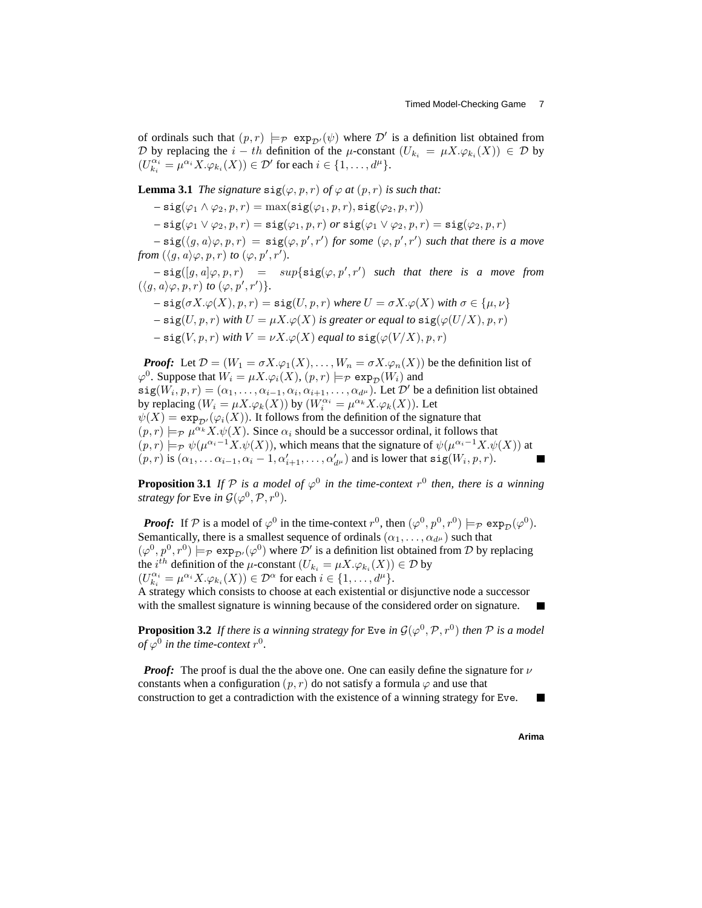of ordinals such that  $(p, r) \models_{\mathcal{P}} \exp_{\mathcal{D}'}(\psi)$  where  $\mathcal{D}'$  is a definition list obtained from D by replacing the  $i-th$  definition of the  $\mu$ -constant  $(U_{k_i} = \mu X.\varphi_{k_i}(X)) \in \mathcal{D}$  by  $(U_{k_i}^{\alpha_i} = \mu^{\alpha_i} X.\varphi_{k_i}(X)) \in \mathcal{D}'$  for each  $i \in \{1, \dots, d^{\mu}\}.$ 

**Lemma 3.1** *The signature*  $\text{sig}(\varphi, p, r)$  *of*  $\varphi$  *at*  $(p, r)$  *is such that:* 

 $-$  sig( $\varphi_1 \wedge \varphi_2, p, r$ ) = max(sig( $\varphi_1, p, r$ ), sig( $\varphi_2, p, r$ ))

 $-$  sig( $\varphi_1 \vee \varphi_2, p, r$ ) = sig( $\varphi_1, p, r$ ) *or* sig( $\varphi_1 \vee \varphi_2, p, r$ ) = sig( $\varphi_2, p, r$ )

 $-\text{sig}(\langle g, a \rangle \varphi, p, r) = \text{sig}(\varphi, p', r')$  *for some*  $(\varphi, p', r')$  *such that there is a move from*  $(\langle g, a \rangle \varphi, p, r)$  *to*  $(\varphi, p', r')$ *.* 

 $-\text{sig}([g, a]\varphi, p, r) = \sup\{\text{sig}(\varphi, p', r') \text{ such that there is a move from } r\}$  $(\langle g, a \rangle \varphi, p, r)$  *to*  $(\varphi, p', r')$  }.

$$
-sig(\sigma X.\varphi(X), p, r) = sig(U, p, r) \text{ where } U = \sigma X.\varphi(X) \text{ with } \sigma \in \{\mu, \nu\} - sig(U, p, r) \text{ with } U = \mu X.\varphi(X) \text{ is greater or equal to } sig(\varphi(U/X), p, r) - sig(V, p, r) \text{ with } V = \nu X.\varphi(X) \text{ equal to } sig(\varphi(V/X), p, r)
$$

*Proof:* Let  $\mathcal{D} = (W_1 = \sigma X \cdot \varphi_1(X), \dots, W_n = \sigma X \cdot \varphi_n(X))$  be the definition list of  $\varphi^0$ . Suppose that  $W_i = \mu X.\varphi_i(X), (p, r) \models_{\mathcal{P}} \exp_{\mathcal{D}}(W_i)$  and  $sig(W_i, p, r) = (\alpha_1, \dots, \alpha_{i-1}, \alpha_i, \alpha_{i+1}, \dots, \alpha_{d^{\mu}})$ . Let  $\mathcal{D}'$  be a definition list obtained by replacing  $(W_i = \mu X.\varphi_k(X))$  by  $(W_i^{\alpha_i} = \mu^{\alpha_k} X.\varphi_k(X))$ . Let  $\psi(X) = \exp_{\mathcal{D}'}(\varphi_i(X))$ . It follows from the definition of the signature that  $(p, r) \models_{\mathcal{P}} \mu^{\alpha_k} X. \psi(X)$ . Since  $\alpha_i$  should be a successor ordinal, it follows that  $(p,r) \models_{\mathcal{P}} \psi(\mu^{\alpha_i-1}X.\psi(X)),$  which means that the signature of  $\psi(\mu^{\alpha_i-1}X.\psi(X))$  at  $(p, r)$  is  $(\alpha_1, \ldots \alpha_{i-1}, \alpha_i - 1, \alpha'_{i+1}, \ldots, \alpha'_{d^{\mu}})$  and is lower that  $\text{sig}(W_i, p, r)$ .

**Proposition 3.1** If  $P$  is a model of  $\varphi^0$  in the time-context  $r^0$  then, there is a winning *strategy for* Eve *in*  $\mathcal{G}(\varphi^0, \mathcal{P}, r^0)$ *.* 

*Proof:* If  $P$  is a model of  $\varphi^0$  in the time-context  $r^0$ , then  $(\varphi^0, p^0, r^0) \models_{\mathcal{P}} \exp_{\mathcal{D}}(\varphi^0)$ . Semantically, there is a smallest sequence of ordinals  $(\alpha_1, \dots, \alpha_{d^{\mu}})$  such that  $(\varphi^0, p^0, r^0) \models_{\mathcal{P}} \exp_{\mathcal{D}'}(\varphi^0)$  where  $\mathcal{D}'$  is a definition list obtained from  $\mathcal D$  by replacing the *i*<sup>th</sup> definition of the  $\mu$ -constant  $(U_{k_i} = \mu X. \varphi_{k_i}(X)) \in \mathcal{D}$  by  $(U_{k_i}^{\alpha_i} = \mu^{\alpha_i} X. \varphi_{k_i}(X)) \in \mathcal{D}^{\alpha}$  for each  $i \in \{1, ..., d^{\mu}\}.$ 

A strategy which consists to choose at each existential or disjunctive node a successor with the smallest signature is winning because of the considered order on signature.

**Proposition 3.2** If there is a winning strategy for Eve in  $\mathcal{G}(\varphi^0,\mathcal{P},r^0)$  then  $\mathcal P$  is a model of  $\varphi^0$  in the time-context  $r^0.$ 

*Proof:* The proof is dual the the above one. One can easily define the signature for  $\nu$ constants when a configuration  $(p, r)$  do not satisfy a formula  $\varphi$  and use that construction to get a contradiction with the existence of a winning strategy for Eve.